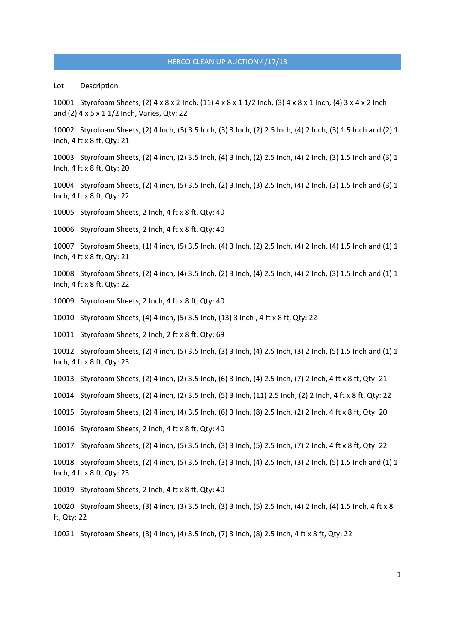Lot Description

10001 Styrofoam Sheets, (2) 4 x 8 x 2 Inch, (11) 4 x 8 x 1 1/2 Inch, (3) 4 x 8 x 1 Inch, (4) 3 x 4 x 2 Inch and (2) 4 x 5 x 1 1/2 Inch, Varies, Qty: 22

10002 Styrofoam Sheets, (2) 4 Inch, (5) 3.5 Inch, (3) 3 Inch, (2) 2.5 Inch, (4) 2 Inch, (3) 1.5 Inch and (2) 1 Inch, 4 ft x 8 ft, Qty: 21

10003 Styrofoam Sheets, (2) 4 inch, (2) 3.5 Inch, (4) 3 Inch, (2) 2.5 Inch, (4) 2 Inch, (3) 1.5 Inch and (3) 1 Inch, 4 ft x 8 ft, Qty: 20

10004 Styrofoam Sheets, (2) 4 inch, (5) 3.5 Inch, (2) 3 Inch, (3) 2.5 Inch, (4) 2 Inch, (3) 1.5 Inch and (3) 1 Inch, 4 ft x 8 ft, Qty: 22

10005 Styrofoam Sheets, 2 Inch, 4 ft x 8 ft, Qty: 40

10006 Styrofoam Sheets, 2 Inch, 4 ft x 8 ft, Qty: 40

10007 Styrofoam Sheets, (1) 4 inch, (5) 3.5 Inch, (4) 3 Inch, (2) 2.5 Inch, (4) 2 Inch, (4) 1.5 Inch and (1) 1 Inch, 4 ft x 8 ft, Qty: 21

10008 Styrofoam Sheets, (2) 4 inch, (4) 3.5 Inch, (2) 3 Inch, (4) 2.5 Inch, (4) 2 Inch, (3) 1.5 Inch and (1) 1 Inch, 4 ft x 8 ft, Qty: 22

10009 Styrofoam Sheets, 2 Inch, 4 ft x 8 ft, Qty: 40

10010 Styrofoam Sheets, (4) 4 inch, (5) 3.5 Inch, (13) 3 Inch , 4 ft x 8 ft, Qty: 22

10011 Styrofoam Sheets, 2 Inch, 2 ft x 8 ft, Qty: 69

10012 Styrofoam Sheets, (2) 4 inch, (5) 3.5 Inch, (3) 3 Inch, (4) 2.5 Inch, (3) 2 Inch, (5) 1.5 Inch and (1) 1 Inch, 4 ft x 8 ft, Qty: 23

10013 Styrofoam Sheets, (2) 4 inch, (2) 3.5 Inch, (6) 3 Inch, (4) 2.5 Inch, (7) 2 Inch, 4 ft x 8 ft, Qty: 21

10014 Styrofoam Sheets, (2) 4 inch, (2) 3.5 Inch, (5) 3 Inch, (11) 2.5 Inch, (2) 2 Inch, 4 ft x 8 ft, Qty: 22

10015 Styrofoam Sheets, (2) 4 inch, (4) 3.5 Inch, (6) 3 Inch, (8) 2.5 Inch, (2) 2 Inch, 4 ft x 8 ft, Qty: 20

10016 Styrofoam Sheets, 2 Inch, 4 ft x 8 ft, Qty: 40

10017 Styrofoam Sheets, (2) 4 inch, (5) 3.5 Inch, (3) 3 Inch, (5) 2.5 Inch, (7) 2 Inch, 4 ft x 8 ft, Qty: 22

10018 Styrofoam Sheets, (2) 4 inch, (5) 3.5 Inch, (3) 3 Inch, (4) 2.5 Inch, (3) 2 Inch, (5) 1.5 Inch and (1) 1 Inch, 4 ft x 8 ft, Qty: 23

10019 Styrofoam Sheets, 2 Inch, 4 ft x 8 ft, Qty: 40

10020 Styrofoam Sheets, (3) 4 inch, (3) 3.5 Inch, (3) 3 Inch, (5) 2.5 Inch, (4) 2 Inch, (4) 1.5 Inch, 4 ft x 8 ft, Qty: 22

10021 Styrofoam Sheets, (3) 4 inch, (4) 3.5 Inch, (7) 3 Inch, (8) 2.5 Inch, 4 ft x 8 ft, Qty: 22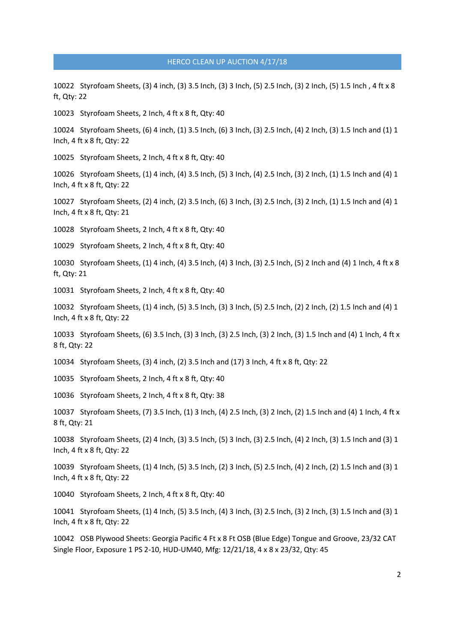10022 Styrofoam Sheets, (3) 4 inch, (3) 3.5 Inch, (3) 3 Inch, (5) 2.5 Inch, (3) 2 Inch, (5) 1.5 Inch , 4 ft x 8 ft, Qty: 22

10023 Styrofoam Sheets, 2 Inch, 4 ft x 8 ft, Qty: 40

10024 Styrofoam Sheets, (6) 4 inch, (1) 3.5 Inch, (6) 3 Inch, (3) 2.5 Inch, (4) 2 Inch, (3) 1.5 Inch and (1) 1 Inch, 4 ft x 8 ft, Qty: 22

10025 Styrofoam Sheets, 2 Inch, 4 ft x 8 ft, Qty: 40

10026 Styrofoam Sheets, (1) 4 inch, (4) 3.5 Inch, (5) 3 Inch, (4) 2.5 Inch, (3) 2 Inch, (1) 1.5 Inch and (4) 1 Inch, 4 ft x 8 ft, Qty: 22

10027 Styrofoam Sheets, (2) 4 inch, (2) 3.5 Inch, (6) 3 Inch, (3) 2.5 Inch, (3) 2 Inch, (1) 1.5 Inch and (4) 1 Inch, 4 ft x 8 ft, Qty: 21

10028 Styrofoam Sheets, 2 Inch, 4 ft x 8 ft, Qty: 40

10029 Styrofoam Sheets, 2 Inch, 4 ft x 8 ft, Qty: 40

10030 Styrofoam Sheets, (1) 4 inch, (4) 3.5 Inch, (4) 3 Inch, (3) 2.5 Inch, (5) 2 Inch and (4) 1 Inch, 4 ft x 8 ft, Qty: 21

10031 Styrofoam Sheets, 2 Inch, 4 ft x 8 ft, Qty: 40

10032 Styrofoam Sheets, (1) 4 inch, (5) 3.5 Inch, (3) 3 Inch, (5) 2.5 Inch, (2) 2 Inch, (2) 1.5 Inch and (4) 1 Inch, 4 ft x 8 ft, Qty: 22

10033 Styrofoam Sheets, (6) 3.5 Inch, (3) 3 Inch, (3) 2.5 Inch, (3) 2 Inch, (3) 1.5 Inch and (4) 1 Inch, 4 ft x 8 ft, Qty: 22

10034 Styrofoam Sheets, (3) 4 inch, (2) 3.5 Inch and (17) 3 Inch, 4 ft x 8 ft, Qty: 22

10035 Styrofoam Sheets, 2 Inch, 4 ft x 8 ft, Qty: 40

10036 Styrofoam Sheets, 2 Inch, 4 ft x 8 ft, Qty: 38

10037 Styrofoam Sheets, (7) 3.5 Inch, (1) 3 Inch, (4) 2.5 Inch, (3) 2 Inch, (2) 1.5 Inch and (4) 1 Inch, 4 ft x 8 ft, Qty: 21

10038 Styrofoam Sheets, (2) 4 Inch, (3) 3.5 Inch, (5) 3 Inch, (3) 2.5 Inch, (4) 2 Inch, (3) 1.5 Inch and (3) 1 Inch, 4 ft x 8 ft, Qty: 22

10039 Styrofoam Sheets, (1) 4 Inch, (5) 3.5 Inch, (2) 3 Inch, (5) 2.5 Inch, (4) 2 Inch, (2) 1.5 Inch and (3) 1 Inch, 4 ft x 8 ft, Qty: 22

10040 Styrofoam Sheets, 2 Inch, 4 ft x 8 ft, Qty: 40

10041 Styrofoam Sheets, (1) 4 Inch, (5) 3.5 Inch, (4) 3 Inch, (3) 2.5 Inch, (3) 2 Inch, (3) 1.5 Inch and (3) 1 Inch, 4 ft x 8 ft, Qty: 22

10042 OSB Plywood Sheets: Georgia Pacific 4 Ft x 8 Ft OSB (Blue Edge) Tongue and Groove, 23/32 CAT Single Floor, Exposure 1 PS 2-10, HUD-UM40, Mfg: 12/21/18, 4 x 8 x 23/32, Qty: 45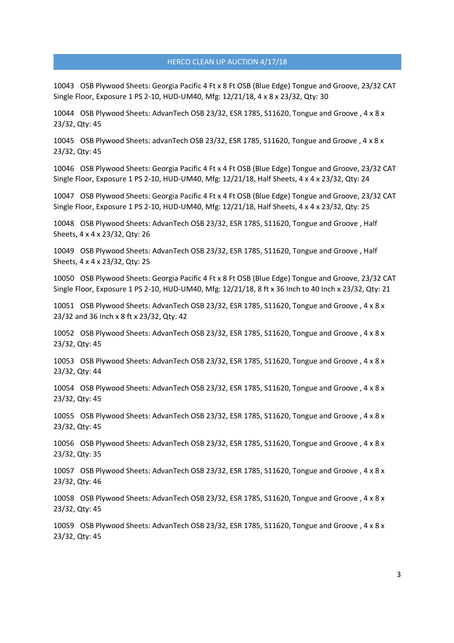10043 OSB Plywood Sheets: Georgia Pacific 4 Ft x 8 Ft OSB (Blue Edge) Tongue and Groove, 23/32 CAT Single Floor, Exposure 1 PS 2-10, HUD-UM40, Mfg: 12/21/18, 4 x 8 x 23/32, Qty: 30

10044 OSB Plywood Sheets: AdvanTech OSB 23/32, ESR 1785, S11620, Tongue and Groove , 4 x 8 x 23/32, Qty: 45

10045 OSB Plywood Sheets: advanTech OSB 23/32, ESR 1785, S11620, Tongue and Groove , 4 x 8 x 23/32, Qty: 45

10046 OSB Plywood Sheets: Georgia Pacific 4 Ft x 4 Ft OSB (Blue Edge) Tongue and Groove, 23/32 CAT Single Floor, Exposure 1 PS 2-10, HUD-UM40, Mfg: 12/21/18, Half Sheets, 4 x 4 x 23/32, Qty: 24

10047 OSB Plywood Sheets: Georgia Pacific 4 Ft x 4 Ft OSB (Blue Edge) Tongue and Groove, 23/32 CAT Single Floor, Exposure 1 PS 2-10, HUD-UM40, Mfg: 12/21/18, Half Sheets, 4 x 4 x 23/32, Qty: 25

10048 OSB Plywood Sheets: AdvanTech OSB 23/32, ESR 1785, S11620, Tongue and Groove , Half Sheets, 4 x 4 x 23/32, Qty: 26

10049 OSB Plywood Sheets: AdvanTech OSB 23/32, ESR 1785, S11620, Tongue and Groove , Half Sheets, 4 x 4 x 23/32, Qty: 25

10050 OSB Plywood Sheets: Georgia Pacific 4 Ft x 8 Ft OSB (Blue Edge) Tongue and Groove, 23/32 CAT Single Floor, Exposure 1 PS 2-10, HUD-UM40, Mfg: 12/21/18, 8 ft x 36 Inch to 40 Inch x 23/32, Qty: 21

10051 OSB Plywood Sheets: AdvanTech OSB 23/32, ESR 1785, S11620, Tongue and Groove , 4 x 8 x 23/32 and 36 Inch x 8 ft x 23/32, Qty: 42

10052 OSB Plywood Sheets: AdvanTech OSB 23/32, ESR 1785, S11620, Tongue and Groove , 4 x 8 x 23/32, Qty: 45

10053 OSB Plywood Sheets: AdvanTech OSB 23/32, ESR 1785, S11620, Tongue and Groove , 4 x 8 x 23/32, Qty: 44

10054 OSB Plywood Sheets: AdvanTech OSB 23/32, ESR 1785, S11620, Tongue and Groove , 4 x 8 x 23/32, Qty: 45

10055 OSB Plywood Sheets: AdvanTech OSB 23/32, ESR 1785, S11620, Tongue and Groove , 4 x 8 x 23/32, Qty: 45

10056 OSB Plywood Sheets: AdvanTech OSB 23/32, ESR 1785, S11620, Tongue and Groove , 4 x 8 x 23/32, Qty: 35

10057 OSB Plywood Sheets: AdvanTech OSB 23/32, ESR 1785, S11620, Tongue and Groove , 4 x 8 x 23/32, Qty: 46

10058 OSB Plywood Sheets: AdvanTech OSB 23/32, ESR 1785, S11620, Tongue and Groove , 4 x 8 x 23/32, Qty: 45

10059 OSB Plywood Sheets: AdvanTech OSB 23/32, ESR 1785, S11620, Tongue and Groove , 4 x 8 x 23/32, Qty: 45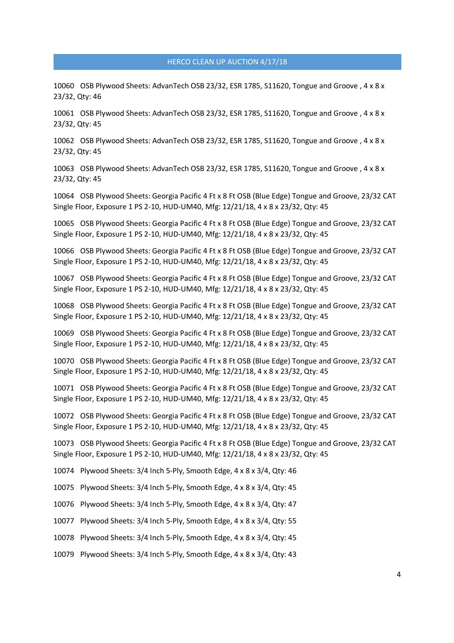10060 OSB Plywood Sheets: AdvanTech OSB 23/32, ESR 1785, S11620, Tongue and Groove , 4 x 8 x 23/32, Qty: 46

10061 OSB Plywood Sheets: AdvanTech OSB 23/32, ESR 1785, S11620, Tongue and Groove , 4 x 8 x 23/32, Qty: 45

10062 OSB Plywood Sheets: AdvanTech OSB 23/32, ESR 1785, S11620, Tongue and Groove , 4 x 8 x 23/32, Qty: 45

10063 OSB Plywood Sheets: AdvanTech OSB 23/32, ESR 1785, S11620, Tongue and Groove , 4 x 8 x 23/32, Qty: 45

10064 OSB Plywood Sheets: Georgia Pacific 4 Ft x 8 Ft OSB (Blue Edge) Tongue and Groove, 23/32 CAT Single Floor, Exposure 1 PS 2-10, HUD-UM40, Mfg: 12/21/18, 4 x 8 x 23/32, Qty: 45

10065 OSB Plywood Sheets: Georgia Pacific 4 Ft x 8 Ft OSB (Blue Edge) Tongue and Groove, 23/32 CAT Single Floor, Exposure 1 PS 2-10, HUD-UM40, Mfg: 12/21/18, 4 x 8 x 23/32, Qty: 45

10066 OSB Plywood Sheets: Georgia Pacific 4 Ft x 8 Ft OSB (Blue Edge) Tongue and Groove, 23/32 CAT Single Floor, Exposure 1 PS 2-10, HUD-UM40, Mfg: 12/21/18, 4 x 8 x 23/32, Qty: 45

10067 OSB Plywood Sheets: Georgia Pacific 4 Ft x 8 Ft OSB (Blue Edge) Tongue and Groove, 23/32 CAT Single Floor, Exposure 1 PS 2-10, HUD-UM40, Mfg: 12/21/18, 4 x 8 x 23/32, Qty: 45

10068 OSB Plywood Sheets: Georgia Pacific 4 Ft x 8 Ft OSB (Blue Edge) Tongue and Groove, 23/32 CAT Single Floor, Exposure 1 PS 2-10, HUD-UM40, Mfg: 12/21/18, 4 x 8 x 23/32, Qty: 45

10069 OSB Plywood Sheets: Georgia Pacific 4 Ft x 8 Ft OSB (Blue Edge) Tongue and Groove, 23/32 CAT Single Floor, Exposure 1 PS 2-10, HUD-UM40, Mfg: 12/21/18, 4 x 8 x 23/32, Qty: 45

10070 OSB Plywood Sheets: Georgia Pacific 4 Ft x 8 Ft OSB (Blue Edge) Tongue and Groove, 23/32 CAT Single Floor, Exposure 1 PS 2-10, HUD-UM40, Mfg: 12/21/18, 4 x 8 x 23/32, Qty: 45

10071 OSB Plywood Sheets: Georgia Pacific 4 Ft x 8 Ft OSB (Blue Edge) Tongue and Groove, 23/32 CAT Single Floor, Exposure 1 PS 2-10, HUD-UM40, Mfg: 12/21/18, 4 x 8 x 23/32, Qty: 45

10072 OSB Plywood Sheets: Georgia Pacific 4 Ft x 8 Ft OSB (Blue Edge) Tongue and Groove, 23/32 CAT Single Floor, Exposure 1 PS 2-10, HUD-UM40, Mfg: 12/21/18, 4 x 8 x 23/32, Qty: 45

10073 OSB Plywood Sheets: Georgia Pacific 4 Ft x 8 Ft OSB (Blue Edge) Tongue and Groove, 23/32 CAT Single Floor, Exposure 1 PS 2-10, HUD-UM40, Mfg: 12/21/18, 4 x 8 x 23/32, Qty: 45

10074 Plywood Sheets: 3/4 Inch 5-Ply, Smooth Edge, 4 x 8 x 3/4, Qty: 46

10075 Plywood Sheets: 3/4 Inch 5-Ply, Smooth Edge, 4 x 8 x 3/4, Qty: 45

10076 Plywood Sheets: 3/4 Inch 5-Ply, Smooth Edge, 4 x 8 x 3/4, Qty: 47

10077 Plywood Sheets: 3/4 Inch 5-Ply, Smooth Edge, 4 x 8 x 3/4, Qty: 55

10078 Plywood Sheets: 3/4 Inch 5-Ply, Smooth Edge, 4 x 8 x 3/4, Qty: 45

10079 Plywood Sheets: 3/4 Inch 5-Ply, Smooth Edge, 4 x 8 x 3/4, Qty: 43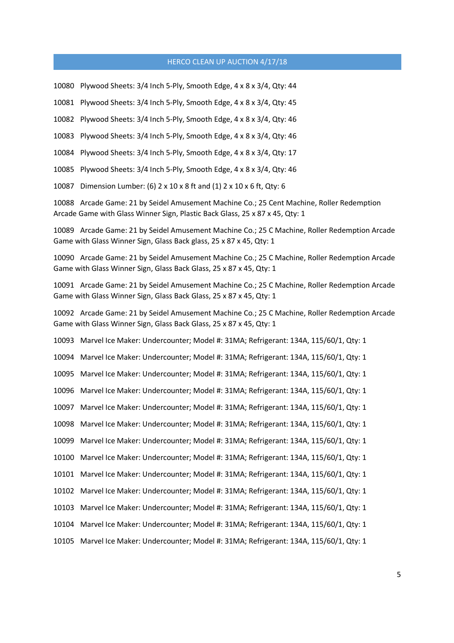10080 Plywood Sheets: 3/4 Inch 5-Ply, Smooth Edge, 4 x 8 x 3/4, Qty: 44

10081 Plywood Sheets: 3/4 Inch 5-Ply, Smooth Edge, 4 x 8 x 3/4, Qty: 45

10082 Plywood Sheets: 3/4 Inch 5-Ply, Smooth Edge, 4 x 8 x 3/4, Qty: 46

10083 Plywood Sheets: 3/4 Inch 5-Ply, Smooth Edge, 4 x 8 x 3/4, Qty: 46

10084 Plywood Sheets: 3/4 Inch 5-Ply, Smooth Edge, 4 x 8 x 3/4, Qty: 17

10085 Plywood Sheets: 3/4 Inch 5-Ply, Smooth Edge, 4 x 8 x 3/4, Qty: 46

10087 Dimension Lumber: (6) 2 x 10 x 8 ft and (1) 2 x 10 x 6 ft, Qty: 6

10088 Arcade Game: 21 by Seidel Amusement Machine Co.; 25 Cent Machine, Roller Redemption Arcade Game with Glass Winner Sign, Plastic Back Glass, 25 x 87 x 45, Qty: 1

10089 Arcade Game: 21 by Seidel Amusement Machine Co.; 25 C Machine, Roller Redemption Arcade Game with Glass Winner Sign, Glass Back glass, 25 x 87 x 45, Qty: 1

10090 Arcade Game: 21 by Seidel Amusement Machine Co.; 25 C Machine, Roller Redemption Arcade Game with Glass Winner Sign, Glass Back Glass, 25 x 87 x 45, Qty: 1

10091 Arcade Game: 21 by Seidel Amusement Machine Co.; 25 C Machine, Roller Redemption Arcade Game with Glass Winner Sign, Glass Back Glass, 25 x 87 x 45, Qty: 1

10092 Arcade Game: 21 by Seidel Amusement Machine Co.; 25 C Machine, Roller Redemption Arcade Game with Glass Winner Sign, Glass Back Glass, 25 x 87 x 45, Qty: 1

10093 Marvel Ice Maker: Undercounter; Model #: 31MA; Refrigerant: 134A, 115/60/1, Qty: 1

10094 Marvel Ice Maker: Undercounter; Model #: 31MA; Refrigerant: 134A, 115/60/1, Qty: 1

10095 Marvel Ice Maker: Undercounter; Model #: 31MA; Refrigerant: 134A, 115/60/1, Qty: 1

10096 Marvel Ice Maker: Undercounter; Model #: 31MA; Refrigerant: 134A, 115/60/1, Qty: 1

10097 Marvel Ice Maker: Undercounter; Model #: 31MA; Refrigerant: 134A, 115/60/1, Qty: 1

10098 Marvel Ice Maker: Undercounter; Model #: 31MA; Refrigerant: 134A, 115/60/1, Qty: 1

10099 Marvel Ice Maker: Undercounter; Model #: 31MA; Refrigerant: 134A, 115/60/1, Qty: 1

10100 Marvel Ice Maker: Undercounter; Model #: 31MA; Refrigerant: 134A, 115/60/1, Qty: 1

10101 Marvel Ice Maker: Undercounter; Model #: 31MA; Refrigerant: 134A, 115/60/1, Qty: 1

- 10102 Marvel Ice Maker: Undercounter; Model #: 31MA; Refrigerant: 134A, 115/60/1, Qty: 1
- 10103 Marvel Ice Maker: Undercounter; Model #: 31MA; Refrigerant: 134A, 115/60/1, Qty: 1
- 10104 Marvel Ice Maker: Undercounter; Model #: 31MA; Refrigerant: 134A, 115/60/1, Qty: 1
- 10105 Marvel Ice Maker: Undercounter; Model #: 31MA; Refrigerant: 134A, 115/60/1, Qty: 1